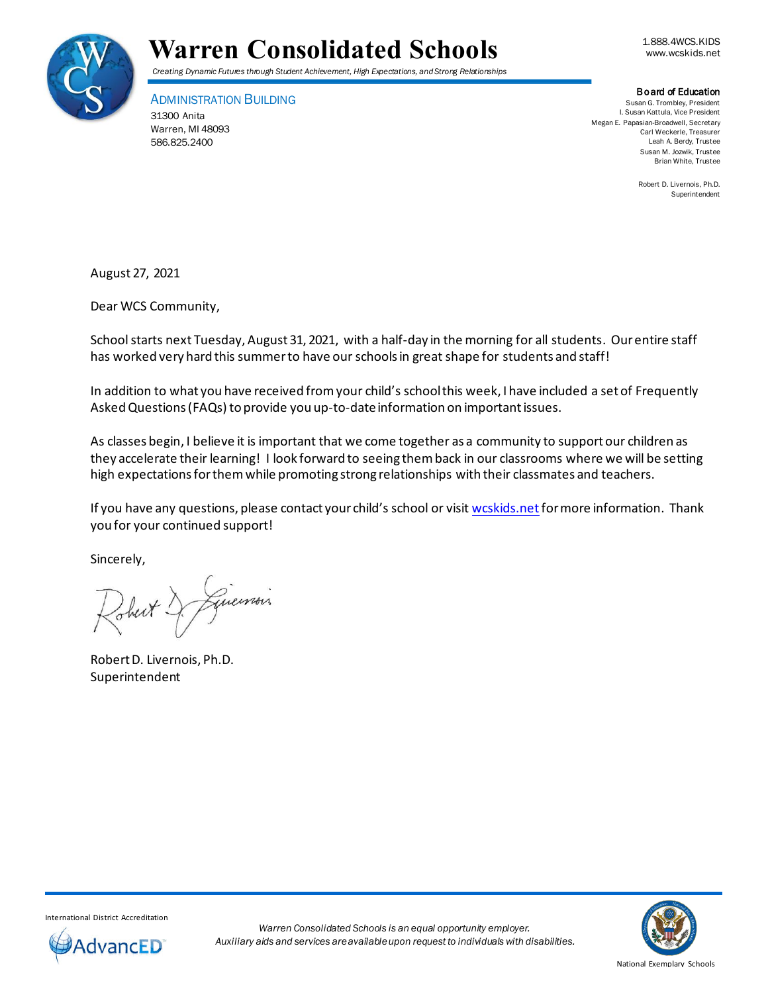



#### Board of Education

ADMINISTRATION BUILDING 31300 Anita Warren, MI 48093 586.825.2400

Susan G. Trombley, President I. Susan Kattula, Vice President Megan E. Papasian-Broadwell, Secretary Carl Weckerle, Treasurer Leah A. Berdy, Trustee Susan M. Jozwik, Trustee Brian White, Trustee

> Robert D. Livernois, Ph.D. Superintendent

August 27, 2021

Dear WCS Community,

School starts next Tuesday, August 31, 2021, with a half-day in the morning for all students. Our entire staff has worked very hard this summer to have our schools in great shape for students and staff!

In addition to what you have received from your child's school this week, I have included a set of Frequently Asked Questions (FAQs) to provide you up-to-dateinformation on important issues.

As classes begin, I believe it is important that we come together as a community to support our children as they accelerate their learning! I look forward to seeing them back in our classrooms where we will be setting high expectations for them while promoting strong relationships with their classmates and teachers.

If you have any questions, please contact your child's school or visit wcskids.net for more information. Thank you for your continued support!

Sincerely,

Robert D. Livernois, Ph.D. Superintendent



International District Accreditation

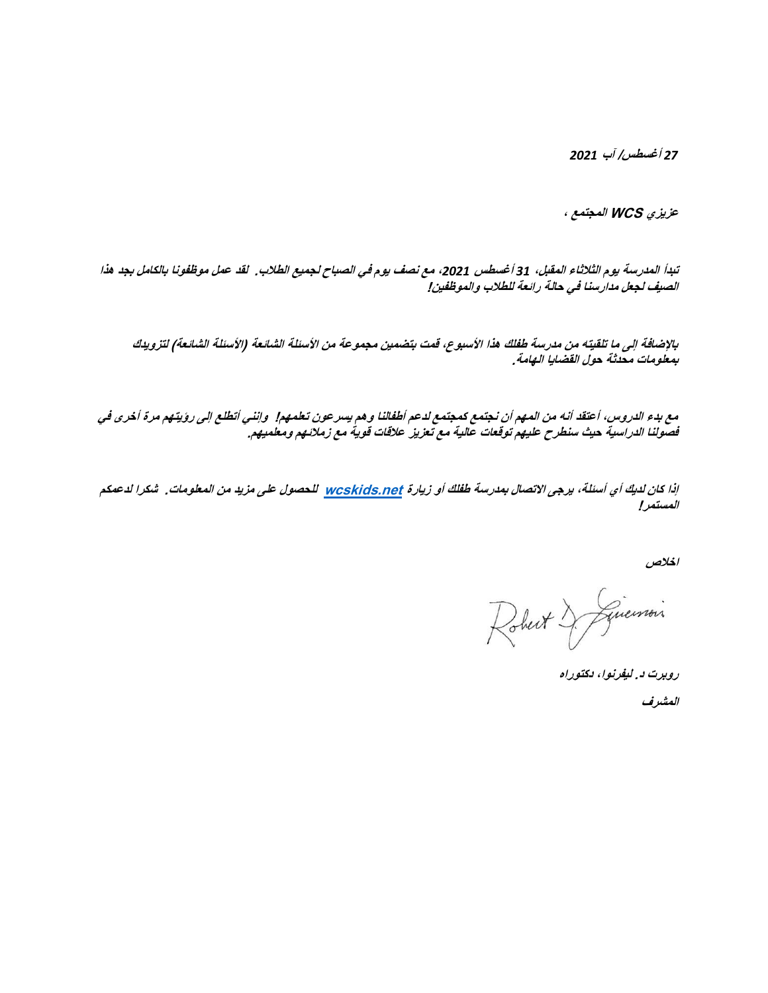*27* **أغسطس/ آب** *2021*

**عزيزي WCS المجتمع ،** 

**تبدأ المدرسة يوم الثالثاء المقبل،** *31* **أغسطس ،***2021* **مع نصف يوم في الصباح لجميع الطالب. لقد عمل موظفونا بالكامل بجد هذا الصيف لجعل مدارسنا في حالة رائعة للطالب والموظفين!** 

**باإلضافة إلى ما تلقيته من مدرسة طفلك هذا األسبوع، قمت بتضمين مجموعة من األسئلة الشائعة )األسئلة الشائعة( لتزويدك بمعلومات محدثة حول القضايا الهامة.** 

**مع بدء الدروس، أعتقد أنه من المهم أن نجتمع كمجتمع لدعم أطفالنا وهم يسرعون تعلمهم! وإنني أتطلع إلى رؤيتهم مرة أخرى في فصولنا الدراسية حيث سنطرح عليهم توقعات عالية مع تعزيز عالقات قوية مع زمالئهم ومعلميهم.** 

**إذا كان لديك أي أسئلة، يرجى االتصال بمدرسة طفلك أو زيارة [net.wcskids](http://wcskids.net/) للحصول على مزيد من المعلومات. شكرا لدعمكم المستمر!**

**اخالص** 

Robert & Givenson

**روبرت د. ليفرنوا، دكتوراه**

**المشرف**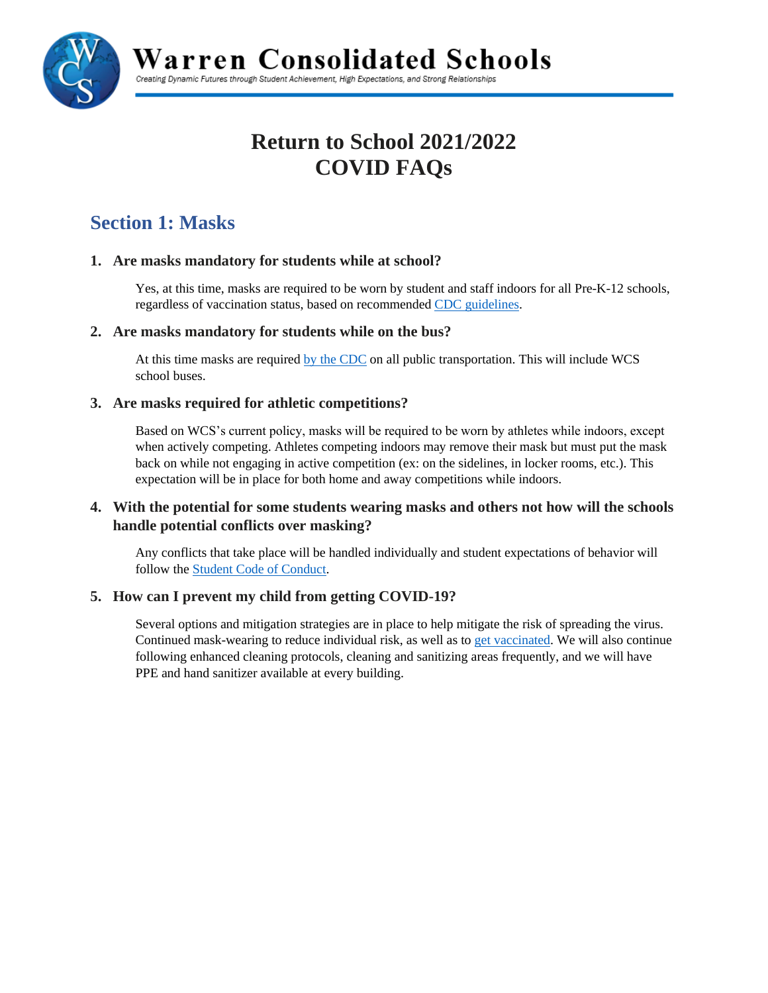

Warren Consolidated Schools

Creating Dynamic Futures through Student Achievement, High Expectations, and Strong Relationships

# **Return to School 2021/2022 COVID FAQs**

## **Section 1: Masks**

## **1. Are masks mandatory for students while at school?**

Yes, at this time, masks are required to be worn by student and staff indoors for all Pre-K-12 schools, regardless of vaccination status, based on recommende[d CDC guidelines.](https://www.cdc.gov/coronavirus/2019-ncov/community/schools-childcare/k-12-guidance.html)

## **2. Are masks mandatory for students while on the bus?**

At this time masks are required [by the CDC](https://www.cdc.gov/quarantine/pdf/Mask-Order-CDC_GMTF_01-29-21-p.pdf) on all public transportation. This will include WCS school buses.

## **3. Are masks required for athletic competitions?**

Based on WCS's current policy, masks will be required to be worn by athletes while indoors, except when actively competing. Athletes competing indoors may remove their mask but must put the mask back on while not engaging in active competition (ex: on the sidelines, in locker rooms, etc.). This expectation will be in place for both home and away competitions while indoors.

## **4. With the potential for some students wearing masks and others not how will the schools handle potential conflicts over masking?**

Any conflicts that take place will be handled individually and student expectations of behavior will follow the [Student Code of Conduct.](https://www.wcskids.net/documentdepot/View/View2.aspx?ID=100229)

## **5. How can I prevent my child from getting COVID-19?**

Several options and mitigation strategies are in place to help mitigate the risk of spreading the virus. Continued mask-wearing to reduce individual risk, as well as to [get vaccinated.](https://www.macombgov.org/VaccineCentral) We will also continue following enhanced cleaning protocols, cleaning and sanitizing areas frequently, and we will have PPE and hand sanitizer available at every building.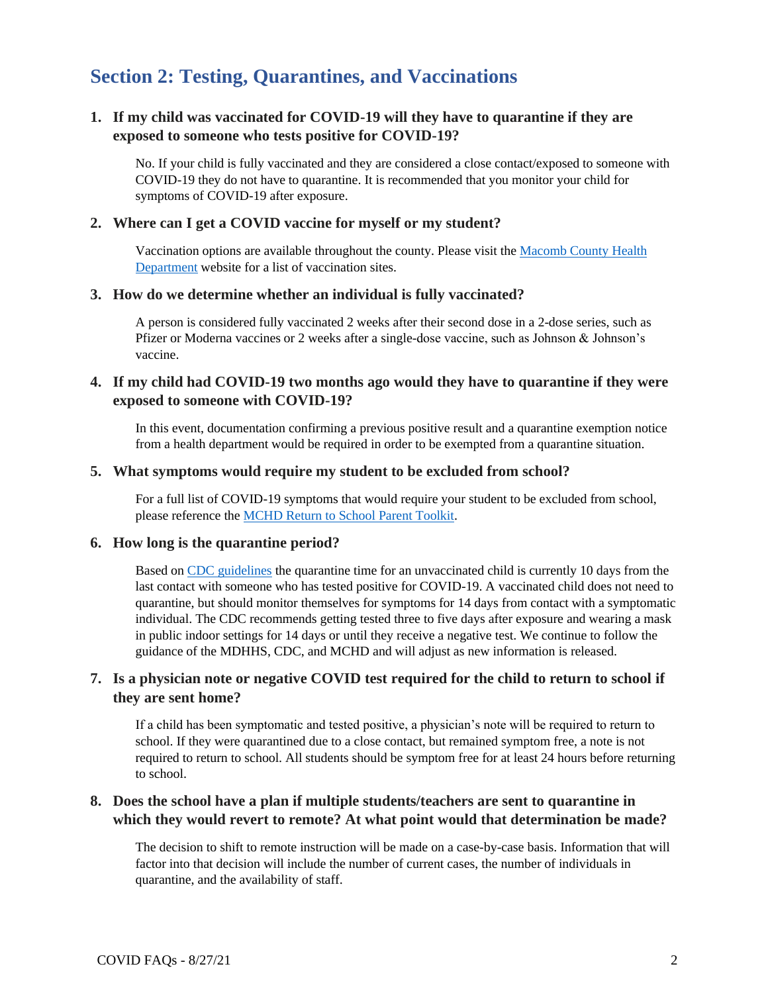## **Section 2: Testing, Quarantines, and Vaccinations**

## **1. If my child was vaccinated for COVID-19 will they have to quarantine if they are exposed to someone who tests positive for COVID-19?**

No. If your child is fully vaccinated and they are considered a close contact/exposed to someone with COVID-19 they do not have to quarantine. It is recommended that you monitor your child for symptoms of COVID-19 after exposure.

#### **2. Where can I get a COVID vaccine for myself or my student?**

Vaccination options are available throughout the county. Please visit the [Macomb County Health](https://www.macombgov.org/VaccineCentral)  [Department](https://www.macombgov.org/VaccineCentral) website for a list of vaccination sites.

#### **3. How do we determine whether an individual is fully vaccinated?**

A person is considered fully vaccinated 2 weeks after their second dose in a 2-dose series, such as Pfizer or Moderna vaccines or 2 weeks after a single-dose vaccine, such as Johnson  $\&$  Johnson's vaccine.

## **4. If my child had COVID-19 two months ago would they have to quarantine if they were exposed to someone with COVID-19?**

In this event, documentation confirming a previous positive result and a quarantine exemption notice from a health department would be required in order to be exempted from a quarantine situation.

#### **5. What symptoms would require my student to be excluded from school?**

For a full list of COVID-19 symptoms that would require your student to be excluded from school, please reference the [MCHD Return to School Parent Toolkit.](https://health.macombgov.org/sites/default/files/content/government/covid19/pdf/covid-19-return-to-school-parent-toolkit-mchd-08.12.2021-1.pdf)

#### **6. How long is the quarantine period?**

Based on [CDC guidelines](https://www.cdc.gov/coronavirus/2019-ncov/community/schools-childcare/k-12-guidance.html) the quarantine time for an unvaccinated child is currently 10 days from the last contact with someone who has tested positive for COVID-19. A vaccinated child does not need to quarantine, but should monitor themselves for symptoms for 14 days from contact with a symptomatic individual. The CDC recommends getting tested three to five days after exposure and wearing a mask in public indoor settings for 14 days or until they receive a negative test. We continue to follow the guidance of the MDHHS, CDC, and MCHD and will adjust as new information is released.

## **7. Is a physician note or negative COVID test required for the child to return to school if they are sent home?**

If a child has been symptomatic and tested positive, a physician's note will be required to return to school. If they were quarantined due to a close contact, but remained symptom free, a note is not required to return to school. All students should be symptom free for at least 24 hours before returning to school.

## **8. Does the school have a plan if multiple students/teachers are sent to quarantine in which they would revert to remote? At what point would that determination be made?**

The decision to shift to remote instruction will be made on a case-by-case basis. Information that will factor into that decision will include the number of current cases, the number of individuals in quarantine, and the availability of staff.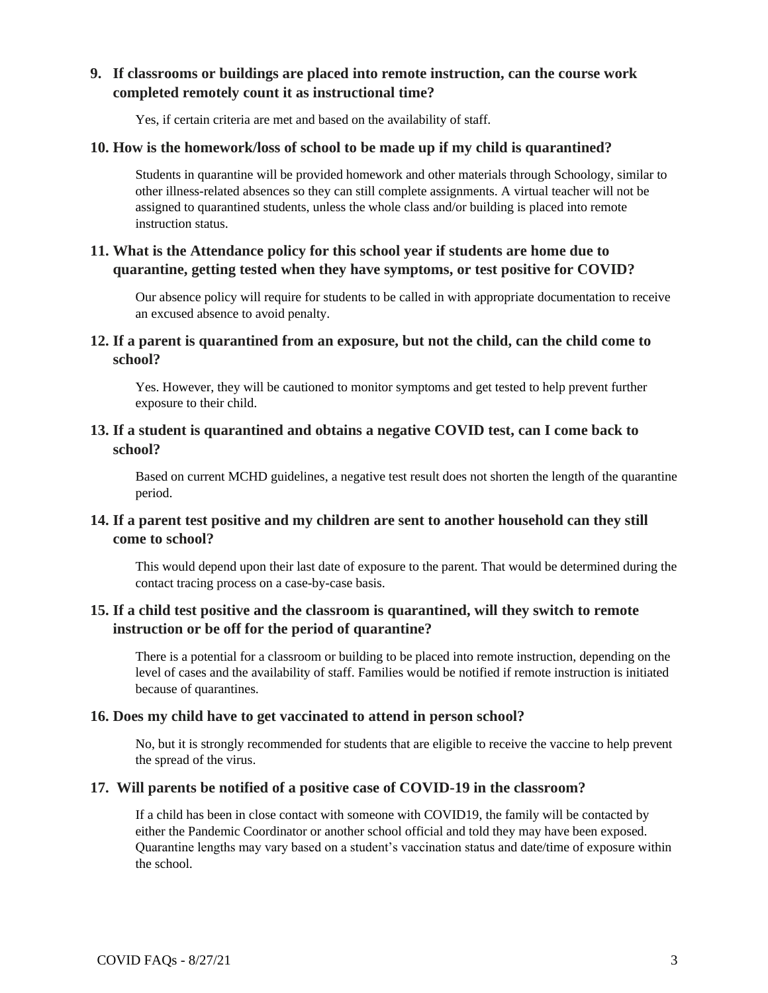## **9. If classrooms or buildings are placed into remote instruction, can the course work completed remotely count it as instructional time?**

Yes, if certain criteria are met and based on the availability of staff.

#### **10. How is the homework/loss of school to be made up if my child is quarantined?**

Students in quarantine will be provided homework and other materials through Schoology, similar to other illness-related absences so they can still complete assignments. A virtual teacher will not be assigned to quarantined students, unless the whole class and/or building is placed into remote instruction status.

## **11. What is the Attendance policy for this school year if students are home due to quarantine, getting tested when they have symptoms, or test positive for COVID?**

Our absence policy will require for students to be called in with appropriate documentation to receive an excused absence to avoid penalty.

## **12. If a parent is quarantined from an exposure, but not the child, can the child come to school?**

Yes. However, they will be cautioned to monitor symptoms and get tested to help prevent further exposure to their child.

## **13. If a student is quarantined and obtains a negative COVID test, can I come back to school?**

Based on current MCHD guidelines, a negative test result does not shorten the length of the quarantine period.

## **14. If a parent test positive and my children are sent to another household can they still come to school?**

This would depend upon their last date of exposure to the parent. That would be determined during the contact tracing process on a case-by-case basis.

## **15. If a child test positive and the classroom is quarantined, will they switch to remote instruction or be off for the period of quarantine?**

There is a potential for a classroom or building to be placed into remote instruction, depending on the level of cases and the availability of staff. Families would be notified if remote instruction is initiated because of quarantines.

#### **16. Does my child have to get vaccinated to attend in person school?**

No, but it is strongly recommended for students that are eligible to receive the vaccine to help prevent the spread of the virus.

#### **17. Will parents be notified of a positive case of COVID-19 in the classroom?**

If a child has been in close contact with someone with COVID19, the family will be contacted by either the Pandemic Coordinator or another school official and told they may have been exposed. Quarantine lengths may vary based on a student's vaccination status and date/time of exposure within the school.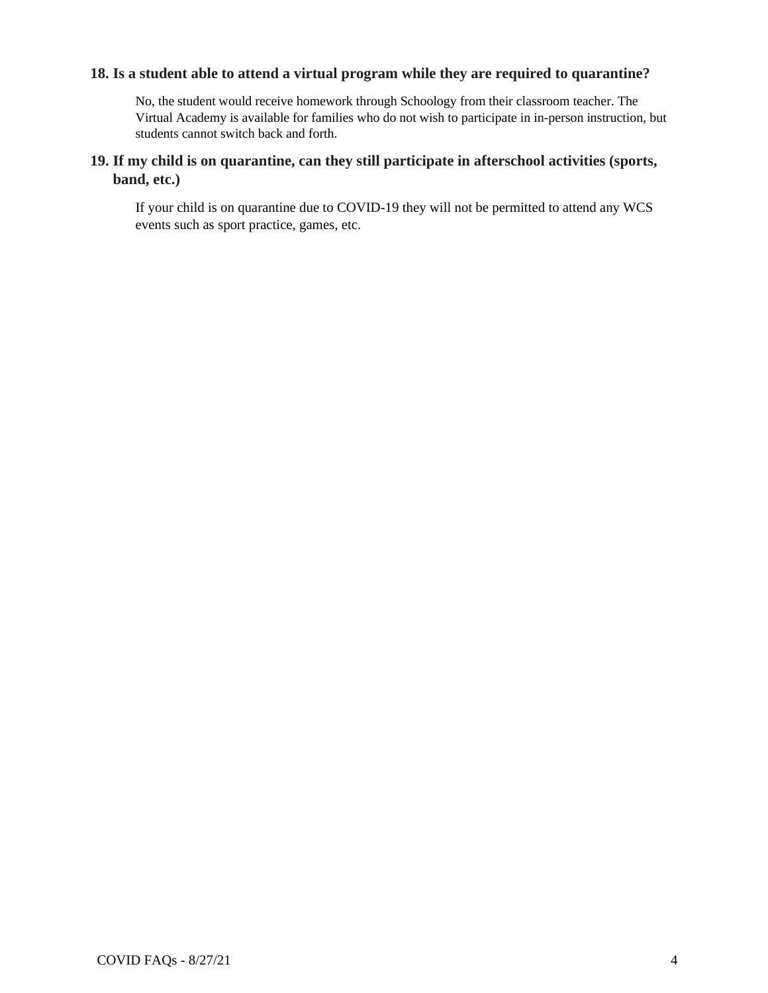## **18. Is a student able to attend a virtual program while they are required to quarantine?**

No, the student would receive homework through Schoology from their classroom teacher. The Virtual Academy is available for families who do not wish to participate in in-person instruction, but students cannot switch back and forth.

## **19. If my child is on quarantine, can they still participate in afterschool activities (sports, band, etc.)**

If your child is on quarantine due to COVID-19 they will not be permitted to attend any WCS events such as sport practice, games, etc.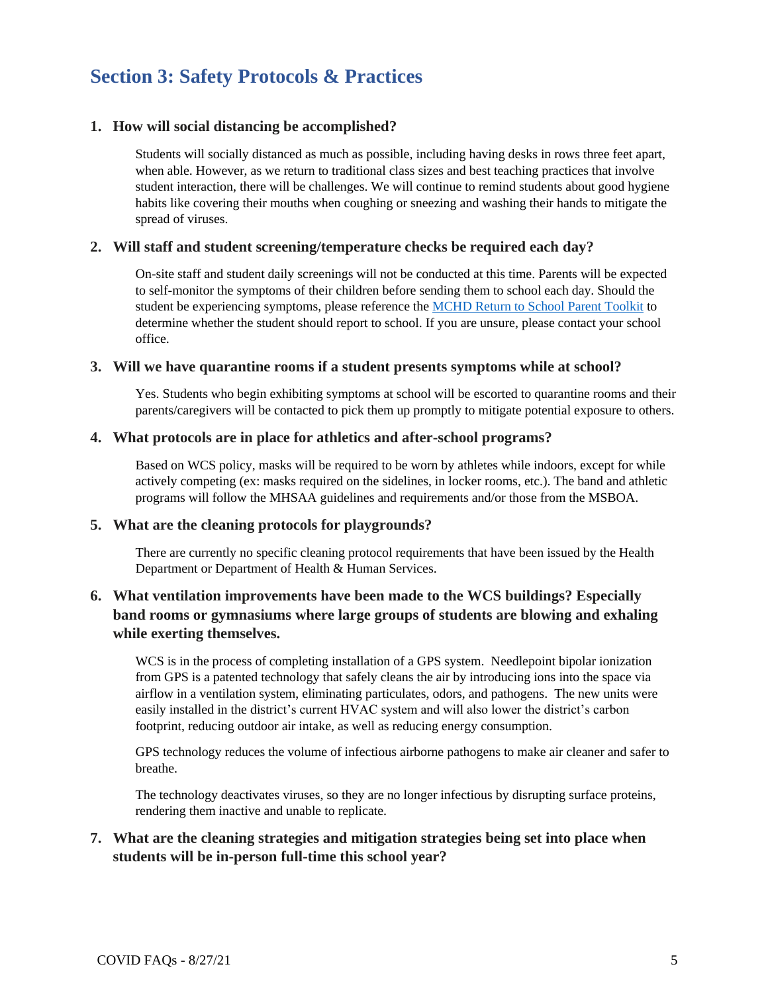## **Section 3: Safety Protocols & Practices**

#### **1. How will social distancing be accomplished?**

Students will socially distanced as much as possible, including having desks in rows three feet apart, when able. However, as we return to traditional class sizes and best teaching practices that involve student interaction, there will be challenges. We will continue to remind students about good hygiene habits like covering their mouths when coughing or sneezing and washing their hands to mitigate the spread of viruses.

#### **2. Will staff and student screening/temperature checks be required each day?**

On-site staff and student daily screenings will not be conducted at this time. Parents will be expected to self-monitor the symptoms of their children before sending them to school each day. Should the student be experiencing symptoms, please reference the MCHD [Return to School Parent Toolkit](https://www.macombgov.org/sites/default/files/content/government/covid19/pdf/COVID-19%20Return%20to%20School%20Parent%20Toolkit%20MCHD%2005.10.2021.pdf) to determine whether the student should report to school. If you are unsure, please contact your school office.

#### **3. Will we have quarantine rooms if a student presents symptoms while at school?**

Yes. Students who begin exhibiting symptoms at school will be escorted to quarantine rooms and their parents/caregivers will be contacted to pick them up promptly to mitigate potential exposure to others.

#### **4. What protocols are in place for athletics and after-school programs?**

Based on WCS policy, masks will be required to be worn by athletes while indoors, except for while actively competing (ex: masks required on the sidelines, in locker rooms, etc.). The band and athletic programs will follow the MHSAA guidelines and requirements and/or those from the MSBOA.

#### **5. What are the cleaning protocols for playgrounds?**

There are currently no specific cleaning protocol requirements that have been issued by the Health Department or Department of Health & Human Services.

## **6. What ventilation improvements have been made to the WCS buildings? Especially band rooms or gymnasiums where large groups of students are blowing and exhaling while exerting themselves.**

WCS is in the process of completing installation of a GPS system. Needlepoint bipolar ionization from GPS is a patented technology that safely cleans the air by introducing ions into the space via airflow in a ventilation system, eliminating particulates, odors, and pathogens. The new units were easily installed in the district's current HVAC system and will also lower the district's carbon footprint, reducing outdoor air intake, as well as reducing energy consumption.

GPS technology reduces the volume of infectious airborne pathogens to make air cleaner and safer to breathe.

The technology deactivates viruses, so they are no longer infectious by disrupting surface proteins, rendering them inactive and unable to replicate.

#### **7. What are the cleaning strategies and mitigation strategies being set into place when students will be in-person full-time this school year?**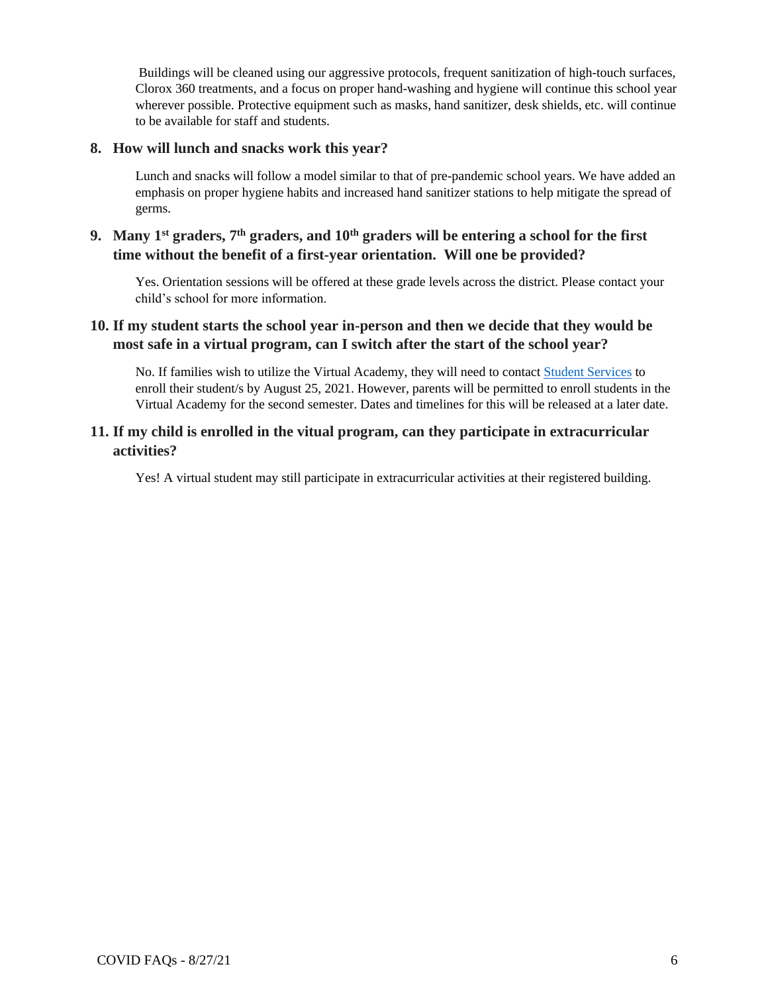Buildings will be cleaned using our aggressive protocols, frequent sanitization of high-touch surfaces, Clorox 360 treatments, and a focus on proper hand-washing and hygiene will continue this school year wherever possible. Protective equipment such as masks, hand sanitizer, desk shields, etc. will continue to be available for staff and students.

#### **8. How will lunch and snacks work this year?**

Lunch and snacks will follow a model similar to that of pre-pandemic school years. We have added an emphasis on proper hygiene habits and increased hand sanitizer stations to help mitigate the spread of germs.

## **9. Many 1st graders, 7th graders, and 10th graders will be entering a school for the first time without the benefit of a first-year orientation. Will one be provided?**

Yes. Orientation sessions will be offered at these grade levels across the district. Please contact your child's school for more information.

## **10. If my student starts the school year in-person and then we decide that they would be most safe in a virtual program, can I switch after the start of the school year?**

No. If families wish to utilize the Virtual Academy, they will need to contac[t Student Services](http://www.wcs.k12.mi.us/Departments/Student-Services/index.html) to enroll their student/s by August 25, 2021. However, parents will be permitted to enroll students in the Virtual Academy for the second semester. Dates and timelines for this will be released at a later date.

#### **11. If my child is enrolled in the vitual program, can they participate in extracurricular activities?**

Yes! A virtual student may still participate in extracurricular activities at their registered building.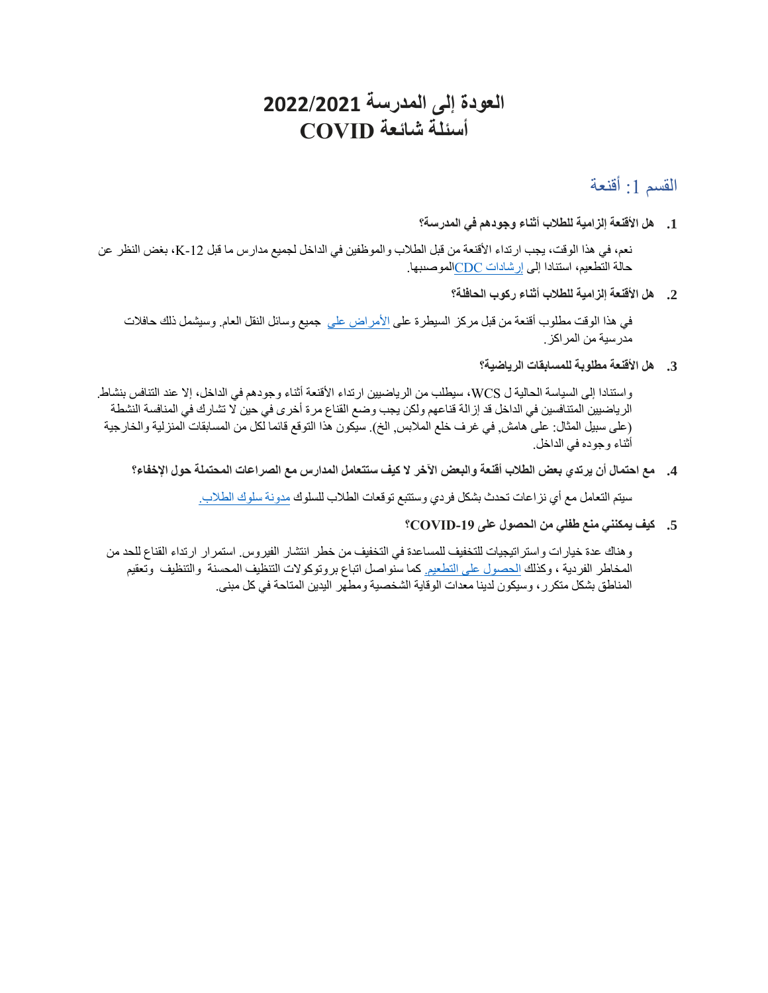# **العودة إلى المدرسة 2022/2021 أسئلة شائعة COVID**

القسم 1: أقنعة

**.1 هل األقنعة إلزامية للطالب أثناء وجودهم في المدرسة؟** 

نعم، في هذا الوقت، يجب ارتداء الأقنعة من قبل الطلاب والموظفين في الداخل لجميع مدارس ما قبل 21-K، بغض النظر عن حالة التطعيم، استنادا إلى [إرشادات CDCال](https://www.cdc.gov/coronavirus/2019-ncov/community/schools-childcare/k-12-guidance.html)موصىبها.

**.2 هل األقنعة إلزامية للطالب أثناء ركوب الحافلة؟** 

في هذا الوقت مطلوب أقنعة من قبل مركز السيطرة على [األمراض على](https://www.cdc.gov/quarantine/pdf/Mask-Order-CDC_GMTF_01-29-21-p.pdf) جميع وسائل النقل العام. وسيشمل ذلك حافالت مدرسية من المراكز.

**.3 هل األقنعة مطلوبة للمسابقات الرياضية؟** 

واستنادا إلى السياسة الحالية ل WCS، سيطلب من الرياضيين ارتداء الأقنعة أثناء وجودهم في الداخل، إلا عند التنافس بنشاط. الرياضيين المتنافسين في الداخل قد إزالة قناعهم ولكن يجب وضع القناع مرة أخرى في حين ال تشارك في المنافسة النشطة (على سبيل المثال: على هامش, في غرف خلع الملابس, الخ). سيكون هذا التوقع قائما لكل من المسابقات المنزلية والخارجية أثناء وجوده في الداخل.

**.4 مع احتمال أن يرتدي بعض الطالب أقنعة والبعض اآلخر ال كيف ستتعامل المدارس مع الصراعات المحتملة حول اإلخفاء؟** 

سيتم التعامل مع أي نزاعات تحدث بشكل فردي وستتبع توقعات الطالب للسلوك [مدونة سلوك الطالب.](https://www.wcskids.net/documentdepot/View/View2.aspx?ID=100229) 

**.5 كيف يمكنني منع طفلي من الحصول على -19COVID؟** 

وهناك عدة خيارات واستراتيجيات للتخفيف للمساعدة في التخفيف من خطر انتشار الفيروس. استمرار ارتداء القناع للحد من المخاطر الفردية ، وكذلك [الحصول على التطعيم.](https://www.macombgov.org/VaccineCentral) كما سنواصل اتباع بروتوكوالت التنظيف المحسنة والتنظيف وتعقيم المناطق بشكل متكرر، وسيكون لدينا معدات الوقاية الشخصية ومطهر اليدين المتاحة في كل مبنى.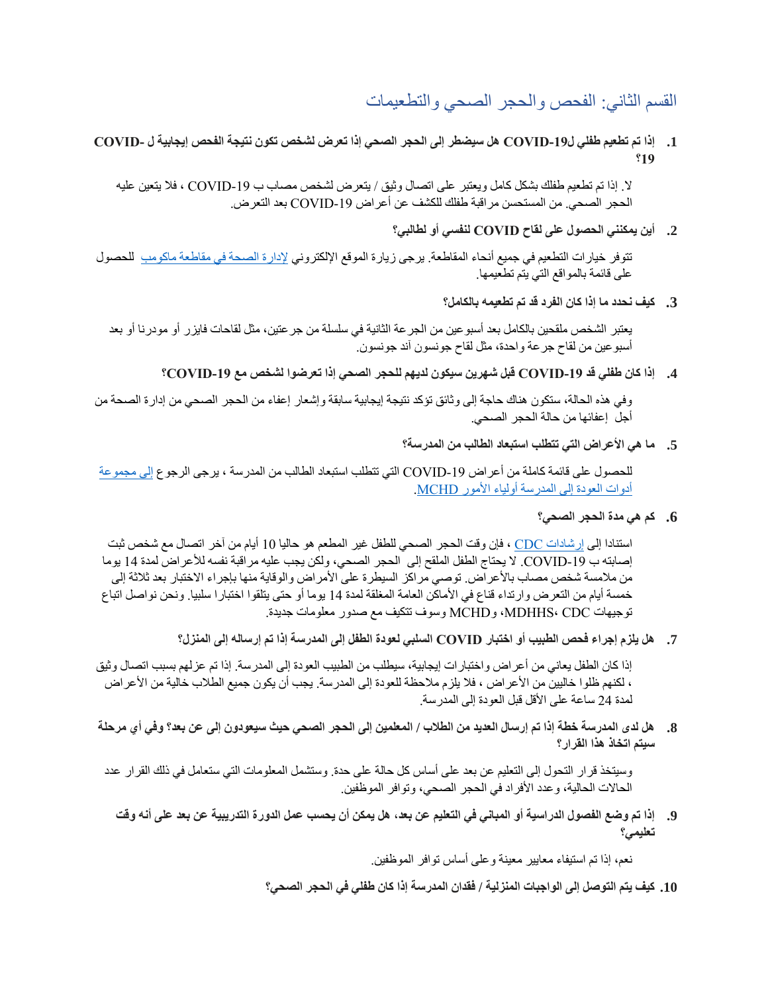القسم الثاني: الفحص والحجر الصحي والتطعيمات

**.1 إذا تم تطعيم طفلي ل-19COVID هل سيضطر إلى الحجر الصحي إذا تعرض لشخص تكون نتيجة الفحص إيجابية ل -COVID 19؟** 

ال. إذا تم تطعيم طفلك بشكل كامل ويعتبر على اتصال وثيق / يتعرض لشخص مصاب ب -19COVID ، فال يتعين عليه الحجر الصحي. من المستحسن مر اقبة طفلك للكشف عن أعر اض COVID-19 بعد التعر ض.

**.2 أين يمكنني الحصول على لقاح COVID لنفسي أو لطالبي؟** 

تتوفر خيارات التطعيم في جميع أنحاء المقاطعة. يرجى زيارة الموقع اإللكتروني [إلدارة الصحة في مقاطعة ماكومب](https://www.macombgov.org/VaccineCentral) للحصول على قائمة بالمواقع التي يتم تطعيمها.

**.3 كيف نحدد ما إذا كان الفرد قد تم تطعيمه بالكامل؟** 

يعتبر الشخص ملقحين بالكامل بعد أسبوعين من الجرعة الثانية في سلسلة من جرعتين، مثل لقاحات فايزر أو مودرنا أو بعد أسبوعين من لقاح جرعة واحدة، مثل لقاح جونسون آند جونسون.

**.4 إذا كان طفلي قد -19COVID قبل شهرين سيكون لديهم للحجر الصحي إذا تعرضوا لشخص مع -19COVID؟** 

وفي هذه الحالة، ستكون هناك حاجة إلى وثائق تؤكد نتيجة إيجابية سابقة وإشعار إعفاء من الحجر الصحي من إدارة الصحة من أجل إعفائها من حالة الحجر الصحي.

**.5 ما هي األعراض التي تتطلب استبعاد الطالب من المدرسة؟** 

للحصول على قائمة كاملة من أعراض -19COVID التي تتطلب استبعاد الطالب من المدرسة ، يرجى الرجوع [إلى مجموعة](https://health.macombgov.org/sites/default/files/content/government/covid19/pdf/covid-19-return-to-school-parent-toolkit-mchd-08.12.2021-1.pdf)  [أدوات العودة إلى المدرسة أولياء األمور MCHD.](https://health.macombgov.org/sites/default/files/content/government/covid19/pdf/covid-19-return-to-school-parent-toolkit-mchd-08.12.2021-1.pdf) 

**.6 كم هي مدة الحجر الصحي؟** 

استنادا إلى [إرشادات CDC](https://www.cdc.gov/coronavirus/2019-ncov/community/schools-childcare/k-12-guidance.html) ، فإن وقت الحجر الصحي للطفل غير المطعم هو حاليا 10 أيام من آخر اتصال مع شخص ثبت إصابته ب COVID-19. لا يحتاج الطفل الملقح إلى الحجر الصحي، ولكن يجب عليه مراقبة نفسه للأعراض لمدة 14 يوما من ملامسة شخص مصاب بالأعراض. توصي مراكز السيطرة على الأمراض والوقاية منها بإجراء الاختبار بعد ثلاثة إلى خمسة أيام من التعرض وارتداء قناع في الأماكن العامة المغلقة لمدة 14 يوما أو حتى يتلقوا اختبارا سلبيا. ونحن نواصل اتباع توجيهات CDC ،MDHHS، وMCHD وسوف تتكيف مع صدور معلومات جديدة.

**.7 هل يلزم إجراء فحص الطبيب أو اختبار COVID السلبي لعودة الطفل إلى المدرسة إذا تم إرساله إلى المنزل؟** 

إذا كان الطفل يعاني من أعراض واختبارات إيجابية، سيطلب من الطبيب العودة إلى المدرسة. إذا تم عزلهم بسبب اتصال وثيق ، لكنهم ظلوا خاليين من الأعراض ، فلا يلزم ملاحظة للعودة إلى المدرسة. يجب أن يكون جميع الطلاب خالية من الأعراض لمدة 24 ساعة على الأقل قبل العودة إلى المدرسة.

**.8 هل لدى المدرسة خطة إذا تم إرسال العديد من الطالب / المعلمين إلى الحجر الصحي حيث سيعودون إلى عن بعد؟ وفي أي مرحلة سيتم اتخاذ هذا القرار؟** 

وسيتخذ قرار التحول إلى التعليم عن بعد على أساس كل حالة على حدة. وستشمل المعلومات التي ستعامل في ذلك القرار عدد الحاالت الحالية، وعدد األفراد في الحجر الصحي، وتوافر الموظفين.

**.9 إذا تم وضع الفصول الدراسية أو المباني في التعليم عن بعد، هل يمكن أن يحسب عمل الدورة التدريبية عن بعد على أنه وقت تعليمي؟** 

نعم، إذا تم استيفاء معايير معينة وعلى أساس توافر الموظفين.

**.10 كيف يتم التوصل إلى الواجبات المنزلية / فقدان المدرسة إذا كان طفلي في الحجر الصحي؟**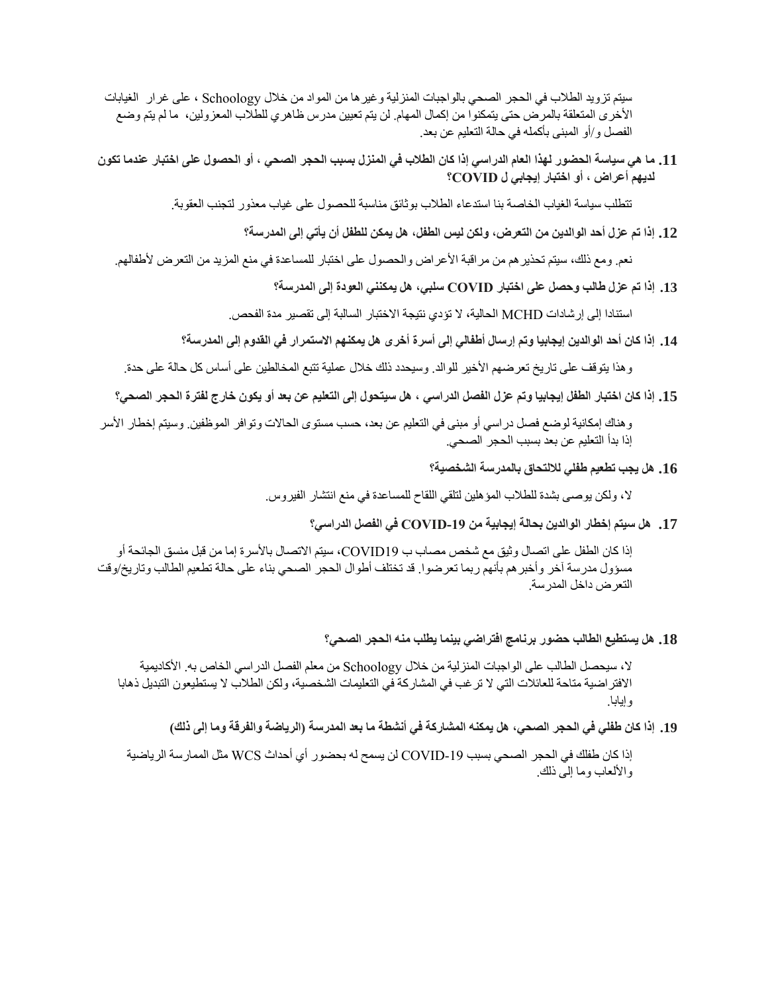سيتم تزويد الطالب في الحجر الصحي بالواجبات المنزلية وغيرها من المواد من خالل Schoology ، على غرار الغيابات األخرى المتعلقة بالمرض حتى يتمكنوا من إكمال المهام. لن يتم تعيين مدرس ظاهري للطالب المعزولين، ما لم يتم وضع الفصل و/أو المبنى بأكمله في حالة التعليم عن بعد.

**.11 ما هي سياسة الحضور لهذا العام الدراسي إذا كان الطالب في المنزل بسبب الحجر الصحي ، أو الحصول على اختبار عندما تكون لديهم أعراض ، أو اختبار إيجابي ل COVID؟** 

تتطلب سياسة الغياب الخاصة بنا استدعاء الطالب بوثائق مناسبة للحصول على غياب معذور لتجنب العقوبة.

**.12 إذا تم عزل أحد الوالدين من التعرض، ولكن ليس الطفل، هل يمكن للطفل أن يأتي إلى المدرسة؟** 

نعم. ومع ذلك، سيتم تحذيرهم من مراقبة األعراض والحصول على اختبار للمساعدة في منع المزيد من التعرض ألطفالهم.

**.13 إذا تم عزل طالب وحصل على اختبار COVID سلبي، هل يمكنني العودة إلى المدرسة؟** 

استنادا إلى إرشادات MCHD الحالية، ال تؤدي نتيجة االختبار السالبة إلى تقصير مدة الفحص.

**.14 إذا كان أحد الوالدين إيجابيا وتم إرسال أطفالي إلى أسرة أخرى هل يمكنهم االستمرار في القدوم إلى المدرسة؟** 

وهذا يتوقف على تاريخ تعرضهم الأخير للوالد. وسيحدد ذلك خلال عملية تتبع المخالطين على أساس كل حالة على حدة.

**.15 إذا كان اختبار الطفل إيجابيا وتم عزل الفصل الدراسي ، هل سيتحول إلى التعليم عن بعد أو يكون خارج لفترة الحجر الصحي؟** 

وهناك إمكانية لوضع فصل دراسي أو مبنى في التعليم عن بعد، حسب مستوى الحاالت وتوافر الموظفين. و سيتم إخطار األسر إذا بدأ التعليم عن بعد بسبب الحجر الصحي.

**.16 هل يجب تطعيم طفلي لاللتحاق بالمدرسة الشخصية؟** 

ال، ولكن يوصى بشدة للطالب المؤهلين لتلقي اللقاح للمساعدة في منع انتشار الفيروس.

**.17 هل سيتم إخطار الوالدين بحالة إيجابية من -19COVID في الفصل الدراسي؟** 

إذا كان الطفل على اتصال وثيق مع شخص مصاب ب 19COVID، سيتم االتصال باألسرة إما من قبل منسق الجائحة أو مسؤول مدرسة آخر وأخبرهم بأنهم ربما تعرضوا. قد تختلف أطوال الحجر الصحي بناء على حالة تطعيم الطالب وتاريخ/وقت التعرض داخل المدرسة.

**.18 هل يستطيع الطالب حضور برنامج افتراضي بينما يطلب منه الحجر الصحي؟** 

ال، سيحصل الطالب على الواجبات المنزلية من خالل Schoology من معلم الفصل الدراسي الخاص به. األكاديمية االفتراضية متاحة للعائالت التي ال ترغب في المشاركة في التعليمات الشخصية، ولكن الطالب ال يستطيعون التبديل ذهابا وإيابا.

**.19 إذا كان طفلي في الحجر الصحي، هل يمكنه المشاركة في أنشطة ما بعد المدرسة )الرياضة والفرقة وما إلى ذلك(** 

إذا كان طفلك في الحجر الصحي بسبب -19COVID لن يسمح له بحضور أي أحداث WCS مثل الممارسة الرياضية والألعاب وما إلى ذلك.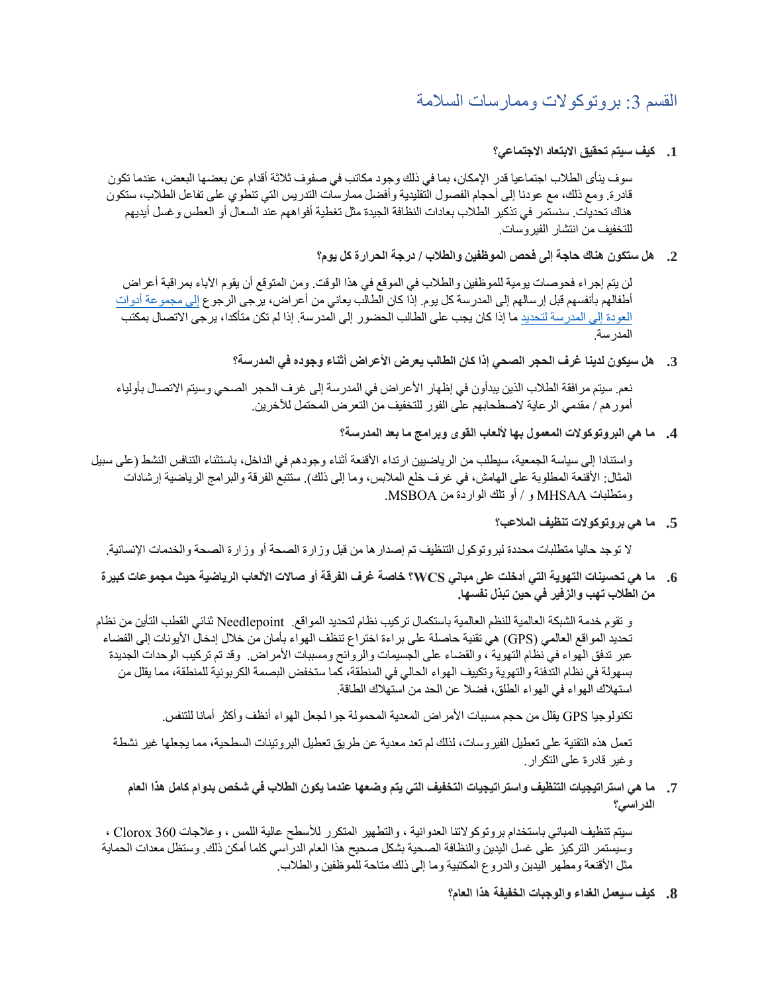## القسم 3: بروتوكولات وممار سات السلامة

#### **.1 كيف سيتم تحقيق االبتعاد االجتماعي؟**

سوف ينأى الطالب اجتماعيا قدر اإلمكان، بما في ذلك وجود مكاتب في صفوف ثالثة أقدام عن بعضها البعض، عندما تكون قادرة. ومع ذلك، مع عودنا إلى أحجام الفصول التقليدية وأفضل ممارسات التدريس التي تنطوي على تفاعل الطالب، ستكون هناك تحديات. سنستمر في تذكير الطالب بعادات النظافة الجيدة مثل تغطية أفواههم عند السعال أو العطس وغسل أيديهم للتخفيف من انتشار الفيروسات.

#### **.2 هل ستكون هناك حاجة إلى فحص الموظفين والطالب / درجة الحرارة كل يوم؟**

لن يتم إجراء فحوصات يومية للموظفين والطالب في الموقع في هذا الوقت. ومن المتوقع أن يقوم اآلباء بمراقبة أعراض أطفالهم بأنفسهم قبل إرسالهم إلى المدرسة كل يوم. إذا كان الطالب يعاني من أعراض، يرجى الرجوع [إلى مجموعة أدوات](https://www.macombgov.org/sites/default/files/content/government/covid19/pdf/COVID-19%20Return%20to%20School%20Parent%20Toolkit%20MCHD%2005.10.2021.pdf)  [العودة إلى المدرسة لتحديد](https://www.macombgov.org/sites/default/files/content/government/covid19/pdf/COVID-19%20Return%20to%20School%20Parent%20Toolkit%20MCHD%2005.10.2021.pdf) ما إذا كان يجب على الطالب الحضور إلى المدرسة. إذا لم تكن متأكدا، يرجى االتصال بمكتب المدرسة.

## **.3 هل سيكون لدينا غرف الحجر الصحي إذا كان الطالب يعرض األعراض أثناء وجوده في المدرسة؟**

نعم. سيتم مرافقة الطلاب الذين يبدأون في إظهار الأعراض في المدرسة إلى غرف الحجر الصحي وسيتم الاتصال بأولياء أمورهم / مقدمي الرعاية الصطحابهم على الفور للتخفيف من التعرض المحتمل لآلخرين.

## **.4 ما هي البروتوكوالت المعمول بها أللعاب القوى وبرامج ما بعد المدرسة؟**

واستنادا إلى سياسة الجمعية، سيطلب من الرياضيين ارتداء الأقنعة أثناء وجودهم في الداخل، باستثناء التنافس النشط (على سبيل المثال: الأقنعة المطلوبة على الهامش، في غرف خلع الملابس، وما إلى ذلك). ستتبع الفرقة والبرامج الرياضية إرشادات ومتطلبات MHSAA و / أو تلك الواردة من MSBOA.

**.5 ما هي بروتوكوالت تنظيف المالعب؟** 

ال توجد حاليا متطلبات محددة لبروتوكول التنظيف تم إصدارها من قبل وزارة الصحة أو وزارة الصحة والخدمات اإلنسانية.

**.6 ما هي تحسينات التهوية التي أدخلت على مباني WCS؟ خاصة غرف الفرقة أو صاالت األلعاب الرياضية حيث مجموعات كبيرة من الطالب تهب والزفير في حين تبذل نفسها.** 

و تقوم خدمة الشبكة العالمية للنظم العالمية باستكمال تركيب نظام لتحديد المواقع. Needlepoint ثنائي القطب التأين من نظام تحديد المواقع العالمي )GPS )هي تقنية حاصلة على براءة اختراع تنظف الهواء بأمان من خالل إدخال األيونات إلى الفضاء عبر تدفق الهواء في نظام التهوية ، والقضاء على الجسيمات والروائح ومسببات الأمراض. وقد تم تركيب الوحدات الجديدة بسهولة في نظام التدفئة والتهوية وتكييف الهواء الحالي في المنطقة، كما ستخفض البصمة الكربونية للمنطقة، مما يقلل من استهالك الهواء في الهواء الطلق، فضال عن الحد من استهالك الطاقة.

تكنولوجيا GPS يقلل من حجم مسببات الأمراض المعدية المحمولة جوا لجعل الهواء أنظف وأكثر أمانا للتنفس.

تعمل هذه التقنية على تعطيل الفيروسات، لذلك لم تعد معدية عن طريق تعطيل البروتينات السطحية، مما يجعلها غير نشطة وغير قادرة على التكرار.

**.7 ما هي استراتيجيات التنظيف واستراتيجيات التخفيف التي يتم وضعها عندما يكون الطالب في شخص بدوام كامل هذا العام الدراسي؟** 

سيتم تنظيف المباني باستخدام بروتوكوالتنا العدوانية ، والتطهير المتكرر لألسطح عالية اللمس ، وعالجات 360 Clorox ، وسيستمر التركيز على غسل اليدين والنظافة الصحية بشكل صحيح هذا العام الدراسي كلما أمكن ذلك. وستظل معدات الحماية مثل الأقنعة ومطهر اليدين والدروع المكتبية وما إلى ذلك متاحة للموظفين والطلاب.

**.8 كيف سيعمل الغداء والوجبات الخفيفة هذا العام؟**